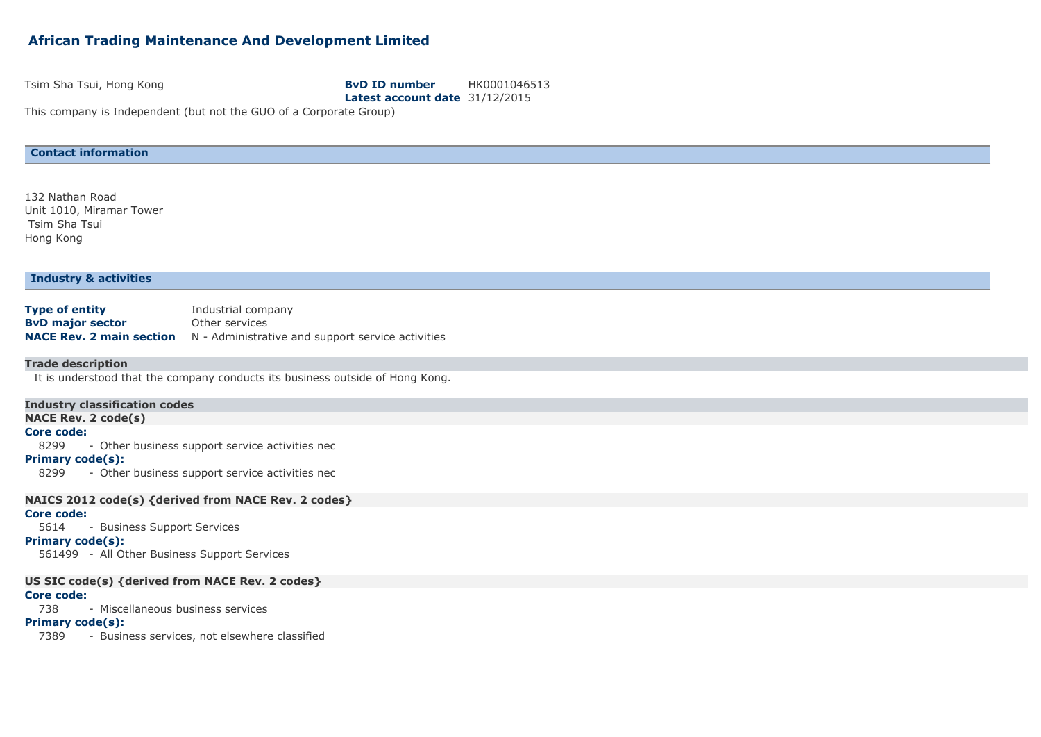# **African Trading Maintenance And Development Limited**

#### Tsim Sha Tsui, Hong Kong **BvD ID number** HK0001046513

**Latest account date** 31/12/2015

This company is Independent (but not the GUO of a Corporate Group)

## **Contact information**

132 Nathan Road Unit 1010, Miramar Tower Tsim Sha Tsui Hong Kong

#### **Industry & activities**

| <b>Type of entity</b>   | Industrial company                                                                |
|-------------------------|-----------------------------------------------------------------------------------|
| <b>ByD major sector</b> | Other services                                                                    |
|                         | <b>NACE Rev. 2 main section</b> N - Administrative and support service activities |

#### **Trade description**

It is understood that the company conducts its business outside of Hong Kong.

#### **Industry classification codes**

**NACE Rev. 2 code(s)**

#### **Core code:**

8299 - Other business support service activities nec

### **Primary code(s):**

8299 - Other business support service activities nec

#### **NAICS 2012 code(s) {derived from NACE Rev. 2 codes}**

## **Core code:**

5614 - Business Support Services

#### **Primary code(s):**

561499 - All Other Business Support Services

## **US SIC code(s) {derived from NACE Rev. 2 codes}**

### **Core code:**

738 - Miscellaneous business services

## **Primary code(s):**

7389 - Business services, not elsewhere classified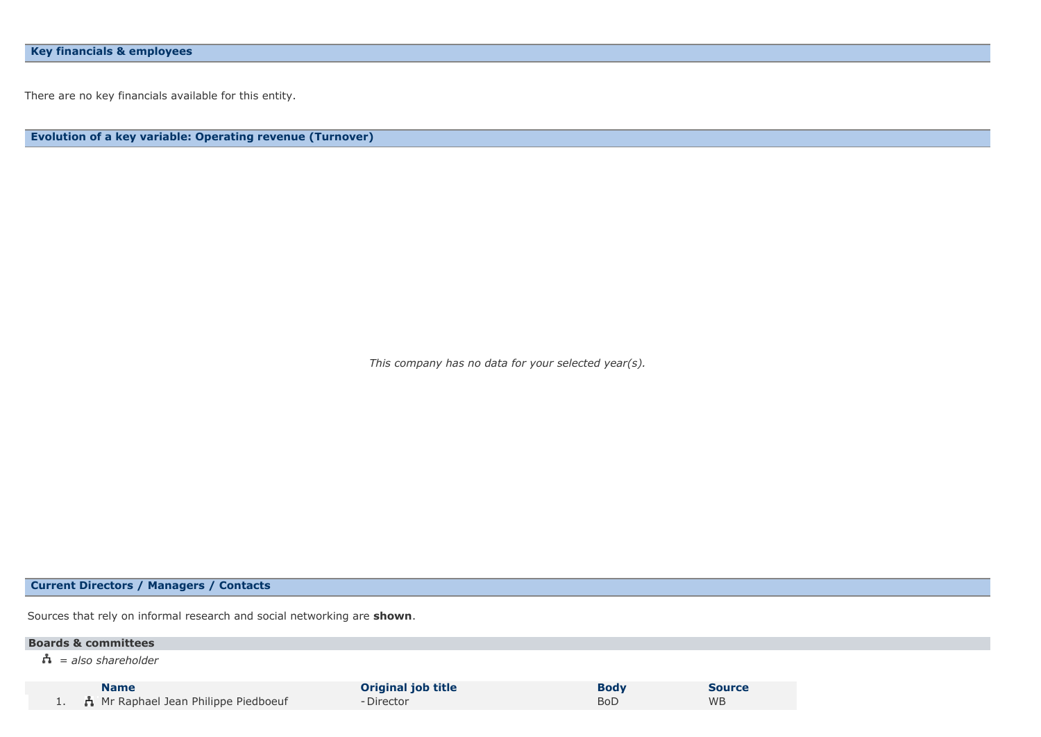There are no key financials available for this entity.

**Evolution of a key variable: Operating revenue (Turnover)**

*This company has no data for your selected year(s).*

## **Current Directors / Managers / Contacts**

Sources that rely on informal research and social networking are **shown**.

## **Boards & committees**

*= also shareholder*

**Name Original job title Body Body Source**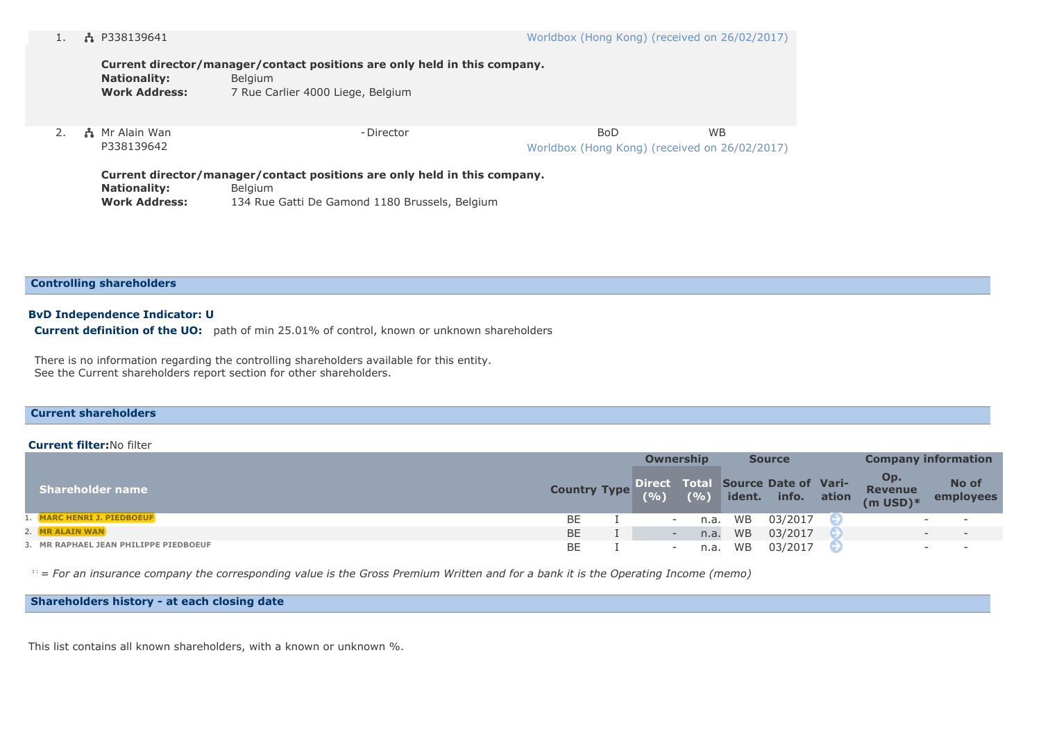| <b>Nationality:</b><br><b>Work Address:</b> | Current director/manager/contact positions are only held in this company.<br><b>Belgium</b><br>7 Rue Carlier 4000 Liege, Belgium |                                                      |           |
|---------------------------------------------|----------------------------------------------------------------------------------------------------------------------------------|------------------------------------------------------|-----------|
| ភ្នំ Mr Alain Wan<br>P338139642             | - Director                                                                                                                       | BoD<br>Worldbox (Hong Kong) (received on 26/02/2017) | <b>WB</b> |

**Current director/manager/contact positions are only held in this company.** Nationality: Belgium **Work Address:** 134 Rue Gatti De Gamond 1180 Brussels, Belgium

**Controlling shareholders**

#### **BvD Independence Indicator: U**

**Current definition of the UO:** path of min 25.01% of control, known or unknown shareholders

There is no information regarding the controlling shareholders available for this entity. See the Current shareholders report section for other shareholders.

## **Current shareholders**

#### **Current filter:**No filter

|                                       |                                                       | <b>Ownership</b> |      |           | <b>Source</b> | <b>Company information</b> |                                        |                          |                    |
|---------------------------------------|-------------------------------------------------------|------------------|------|-----------|---------------|----------------------------|----------------------------------------|--------------------------|--------------------|
| <b>Shareholder name</b>               | <b>Country Type Direct Total Source Date of Vari-</b> |                  |      |           |               |                            | Op.<br><b>Revenue</b><br>$(m$ USD) $*$ |                          | No of<br>employees |
| 1. MARC HENRI J. PIEDBOEUF            | BE                                                    |                  | n.a. | WB        | 03/2017       |                            |                                        |                          |                    |
| 2. MR ALAIN WAN                       | <b>BE</b>                                             |                  | n.a. | <b>WB</b> | 03/2017       |                            |                                        |                          |                    |
| 3. MR RAPHAEL JEAN PHILIPPE PIEDBOEUF | BE                                                    |                  | n.a. | WB        | 03/2017       |                            |                                        | $\overline{\phantom{0}}$ | $\sim$             |

\* *= For an insurance company the corresponding value is the Gross Premium Written and for a bank it is the Operating Income (memo)*

## **Shareholders history - at each closing date**

This list contains all known shareholders, with a known or unknown %.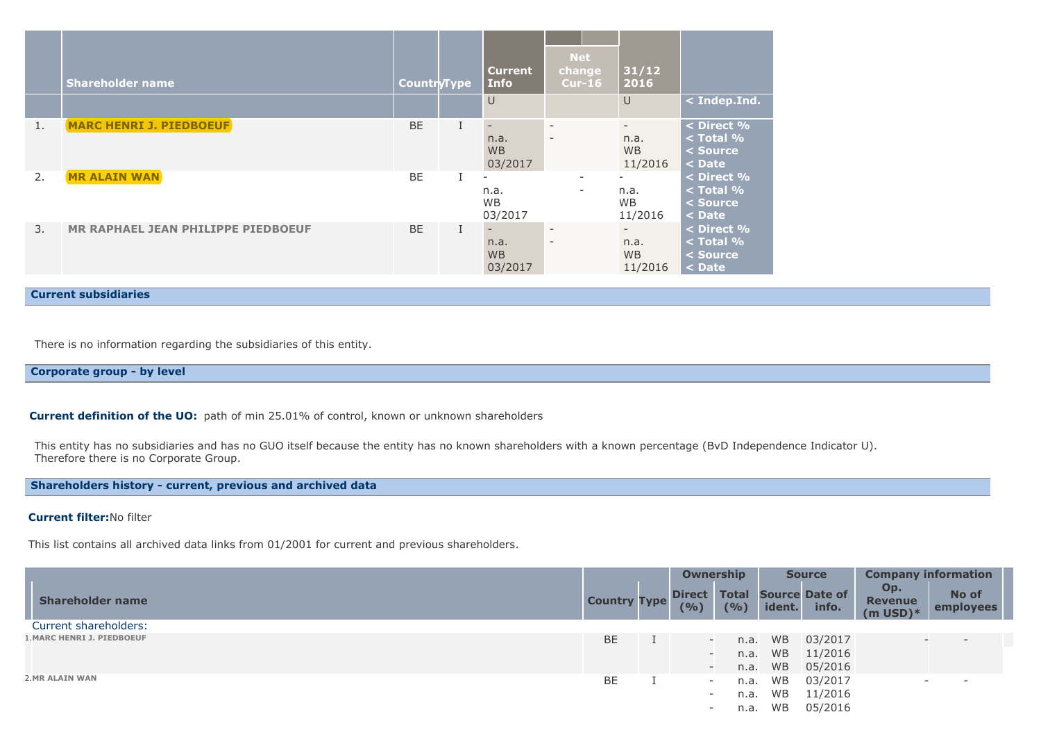|    | <b>Shareholder name</b>                   | <b>CountryType</b> | <b>Current</b><br><b>Info</b><br>$\cup$                  | <b>Net</b><br>change<br>$Cur-16$                     | 31/12<br>2016<br>$\cup$                                  | $ $ < Indep.Ind.                                    |
|----|-------------------------------------------|--------------------|----------------------------------------------------------|------------------------------------------------------|----------------------------------------------------------|-----------------------------------------------------|
| 1. | <b>MARC HENRI J. PIEDBOEUF</b>            | <b>BE</b>          | $\qquad \qquad -$<br>n.a.<br><b>WB</b><br>03/2017        | $\overline{\phantom{a}}$<br>$\overline{\phantom{a}}$ | n.a.<br><b>WB</b><br>11/2016                             | < Direct %<br>$<$ Total $%$<br>< Source<br>$<$ Date |
| 2. | <b>MR ALAIN WAN</b>                       | <b>BE</b>          | $\overline{\phantom{a}}$<br>n.a.<br><b>WB</b><br>03/2017 | $\overline{\phantom{a}}$<br>$\overline{\phantom{a}}$ | $\overline{\phantom{a}}$<br>n.a.<br><b>WB</b><br>11/2016 | < Direct %<br>$<$ Total %<br>$<$ Source<br>$<$ Date |
| 3. | <b>MR RAPHAEL JEAN PHILIPPE PIEDBOEUF</b> | <b>BE</b>          | $\overline{\phantom{a}}$<br>n.a.<br><b>WB</b><br>03/2017 | $\overline{\phantom{a}}$<br>$\overline{\phantom{a}}$ | $\overline{\phantom{0}}$<br>n.a.<br><b>WB</b><br>11/2016 | < Direct %<br>$<$ Total $%$<br>< Source<br>< Date   |

**Current subsidiaries**

There is no information regarding the subsidiaries of this entity.

# **Corporate group - by level**

**Current definition of the UO:** path of min 25.01% of control, known or unknown shareholders

This entity has no subsidiaries and has no GUO itself because the entity has no known shareholders with a known percentage (BvD Independence Indicator U). Therefore there is no Corporate Group.

**Shareholders history - current, previous and archived data**

### **Current filter:**No filter

This list contains all archived data links from 01/2001 for current and previous shareholders.

|                                   |                     |  |                          |       |           | Ownership                            |                                 | <b>Source</b>            | <b>Company information</b> |  |  |
|-----------------------------------|---------------------|--|--------------------------|-------|-----------|--------------------------------------|---------------------------------|--------------------------|----------------------------|--|--|
| <b>Shareholder name</b>           | <b>Country Type</b> |  | <b>Direct</b><br>(9/6)   | (9/6) | ident.    | <b>Total Source Date of</b><br>info. | Op.<br>Revenue<br>$(m$ USD $)*$ | No of<br>employees       |                            |  |  |
| Current shareholders:             |                     |  |                          |       |           |                                      |                                 |                          |                            |  |  |
| <b>1. MARC HENRI J. PIEDBOEUF</b> | BE                  |  | $\overline{\phantom{a}}$ | n.a.  | <b>WB</b> | 03/2017                              | $\overline{\phantom{a}}$        | $\overline{\phantom{0}}$ |                            |  |  |
|                                   |                     |  |                          | n.a.  | WB        | 11/2016                              |                                 |                          |                            |  |  |
|                                   |                     |  | $\overline{\phantom{a}}$ | n.a.  | <b>WB</b> | 05/2016                              |                                 |                          |                            |  |  |
| 2. MR ALAIN WAN                   | BE                  |  | $\overline{\phantom{0}}$ | n.a.  | <b>WB</b> | 03/2017                              |                                 |                          |                            |  |  |
|                                   |                     |  | $\overline{\phantom{a}}$ | n.a.  | <b>WB</b> | 11/2016                              |                                 |                          |                            |  |  |
|                                   |                     |  | $\overline{\phantom{a}}$ | n.a.  | WB        | 05/2016                              |                                 |                          |                            |  |  |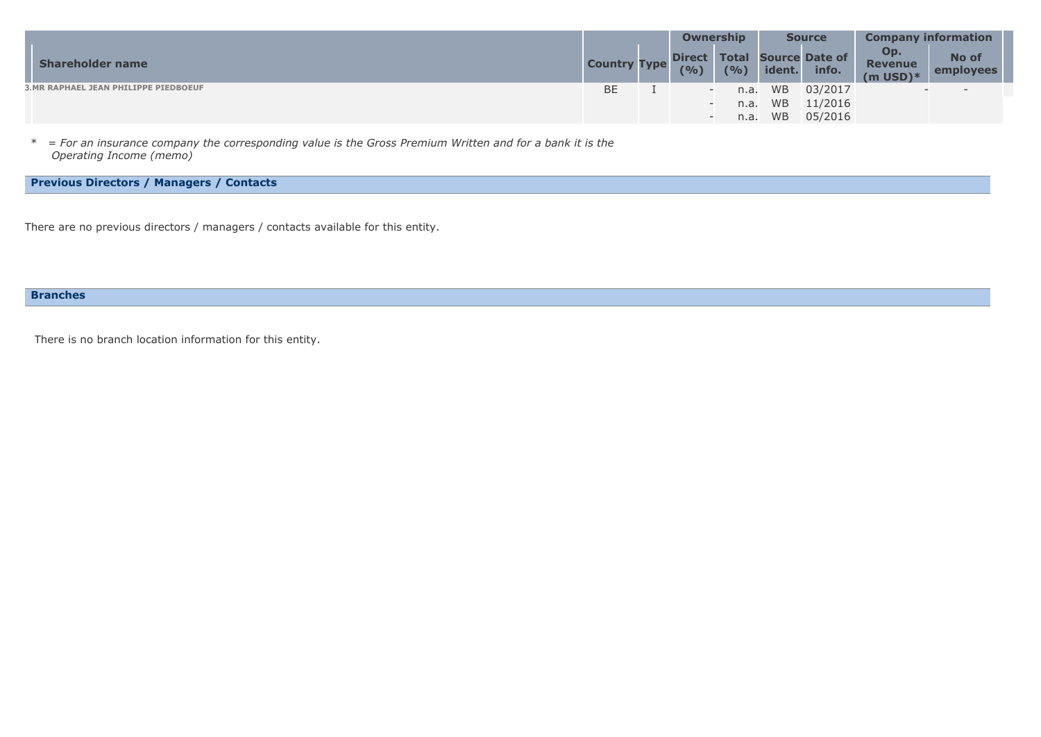|                                       |                     | Ownership              |       | <b>Source</b> |                                      | <b>Company information</b>             |                           |  |
|---------------------------------------|---------------------|------------------------|-------|---------------|--------------------------------------|----------------------------------------|---------------------------|--|
| <b>Shareholder name</b>               | <b>Country Type</b> | <b>Direct</b><br>(9/6) | (9/0) | ident.        | <b>Total Source Date of</b><br>info. | Op.<br><b>Revenue</b><br>$(m$ USD $)*$ | No of<br><b>employees</b> |  |
| 3. MR RAPHAEL JEAN PHILIPPE PIEDBOEUF | <b>BE</b>           |                        | n.a.  | <b>WB</b>     | 03/2017                              | $\overline{\phantom{a}}$               | $\overline{\phantom{a}}$  |  |
|                                       |                     |                        | n.a.  | <b>WB</b>     | 11/2016                              |                                        |                           |  |
|                                       |                     |                        | n.a.  | <b>WB</b>     | 05/2016                              |                                        |                           |  |

\* *= For an insurance company the corresponding value is the Gross Premium Written and for a bank it is the Operating Income (memo)*

# **Previous Directors / Managers / Contacts**

There are no previous directors / managers / contacts available for this entity.

## **Branches**

There is no branch location information for this entity.